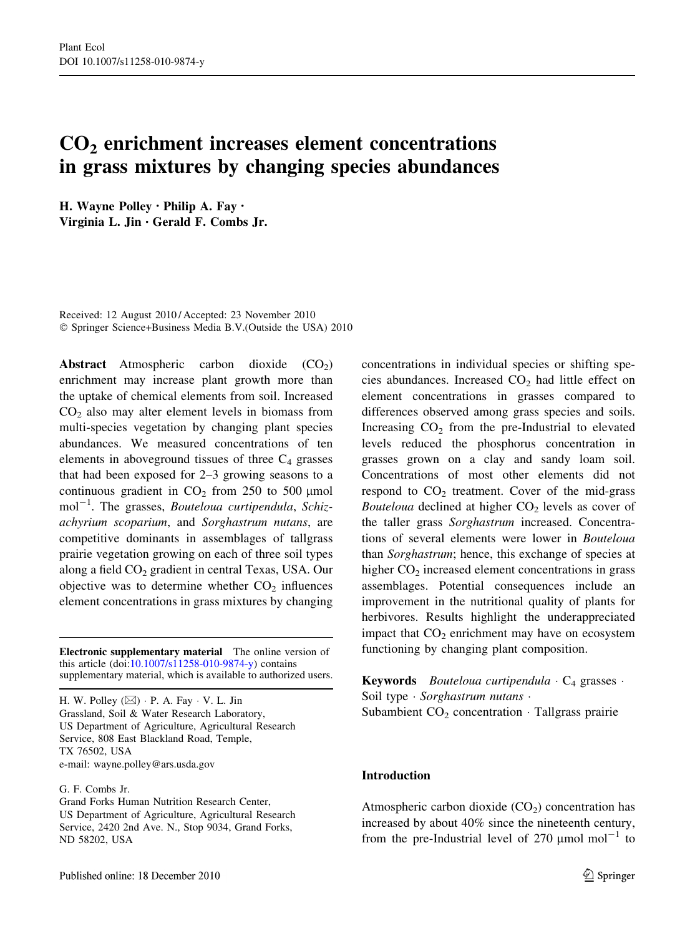# CO<sub>2</sub> enrichment increases element concentrations in grass mixtures by changing species abundances

H. Wayne Polley • Philip A. Fay • Virginia L. Jin • Gerald F. Combs Jr.

Received: 12 August 2010 / Accepted: 23 November 2010 © Springer Science+Business Media B.V.(Outside the USA) 2010

**Abstract** Atmospheric carbon dioxide  $(CO_2)$ enrichment may increase plant growth more than the uptake of chemical elements from soil. Increased  $CO<sub>2</sub>$  also may alter element levels in biomass from multi-species vegetation by changing plant species abundances. We measured concentrations of ten elements in aboveground tissues of three  $C_4$  grasses that had been exposed for 2–3 growing seasons to a continuous gradient in  $CO<sub>2</sub>$  from 250 to 500 µmol  $mol^{-1}$ . The grasses, *Bouteloua curtipendula*, *Schiz*achyrium scoparium, and Sorghastrum nutans, are competitive dominants in assemblages of tallgrass prairie vegetation growing on each of three soil types along a field CO<sub>2</sub> gradient in central Texas, USA. Our objective was to determine whether  $CO<sub>2</sub>$  influences element concentrations in grass mixtures by changing

Electronic supplementary material The online version of this article (doi[:10.1007/s11258-010-9874-y\)](http://dx.doi.org/10.1007/s11258-010-9874-y) contains supplementary material, which is available to authorized users.

H. W. Polley ( $\boxtimes$ ) · P. A. Fay · V. L. Jin Grassland, Soil & Water Research Laboratory, US Department of Agriculture, Agricultural Research Service, 808 East Blackland Road, Temple, TX 76502, USA e-mail: wayne.polley@ars.usda.gov

## G. F. Combs Jr.

Grand Forks Human Nutrition Research Center, US Department of Agriculture, Agricultural Research Service, 2420 2nd Ave. N., Stop 9034, Grand Forks, ND 58202, USA

concentrations in individual species or shifting species abundances. Increased  $CO<sub>2</sub>$  had little effect on element concentrations in grasses compared to differences observed among grass species and soils. Increasing  $CO<sub>2</sub>$  from the pre-Industrial to elevated levels reduced the phosphorus concentration in grasses grown on a clay and sandy loam soil. Concentrations of most other elements did not respond to  $CO<sub>2</sub>$  treatment. Cover of the mid-grass Bouteloua declined at higher  $CO<sub>2</sub>$  levels as cover of the taller grass Sorghastrum increased. Concentrations of several elements were lower in Bouteloua than Sorghastrum; hence, this exchange of species at higher  $CO<sub>2</sub>$  increased element concentrations in grass assemblages. Potential consequences include an improvement in the nutritional quality of plants for herbivores. Results highlight the underappreciated impact that  $CO<sub>2</sub>$  enrichment may have on ecosystem functioning by changing plant composition.

**Keywords** *Bouteloua curtipendula*  $\cdot$  C<sub>4</sub> grasses  $\cdot$ Soil type · Sorghastrum nutans · Subambient  $CO<sub>2</sub>$  concentration  $\cdot$  Tallgrass prairie

## Introduction

Atmospheric carbon dioxide  $(CO<sub>2</sub>)$  concentration has increased by about 40% since the nineteenth century, from the pre-Industrial level of 270  $\mu$ mol mol<sup>-1</sup> to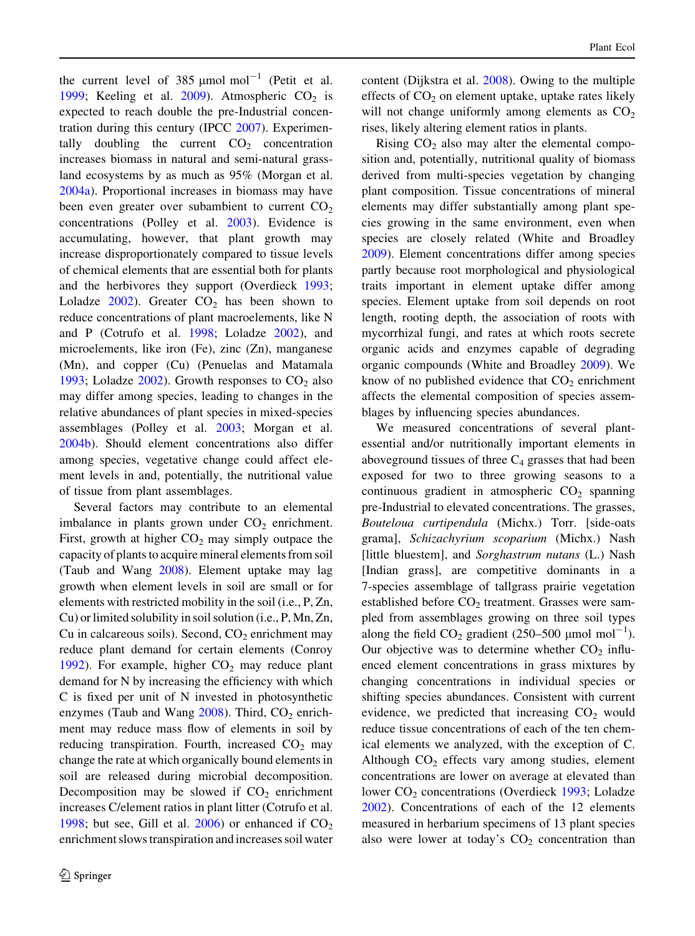the current level of 385  $\mu$ mol mol<sup>-1</sup> (Petit et al. [1999;](#page-12-0) Keeling et al. [2009](#page-11-0)). Atmospheric  $CO<sub>2</sub>$  is expected to reach double the pre-Industrial concentration during this century (IPCC [2007\)](#page-11-0). Experimentally doubling the current  $CO<sub>2</sub>$  concentration increases biomass in natural and semi-natural grassland ecosystems by as much as 95% (Morgan et al. [2004a](#page-12-0)). Proportional increases in biomass may have been even greater over subambient to current  $CO<sub>2</sub>$ concentrations (Polley et al. [2003\)](#page-12-0). Evidence is accumulating, however, that plant growth may increase disproportionately compared to tissue levels of chemical elements that are essential both for plants and the herbivores they support (Overdieck [1993](#page-12-0); Loladze  $2002$ ). Greater  $CO<sub>2</sub>$  has been shown to reduce concentrations of plant macroelements, like N and P (Cotrufo et al. [1998;](#page-11-0) Loladze [2002\)](#page-12-0), and microelements, like iron (Fe), zinc (Zn), manganese (Mn), and copper (Cu) (Penuelas and Matamala [1993;](#page-12-0) Loladze [2002\)](#page-12-0). Growth responses to  $CO<sub>2</sub>$  also may differ among species, leading to changes in the relative abundances of plant species in mixed-species assemblages (Polley et al. [2003](#page-12-0); Morgan et al. [2004b\)](#page-12-0). Should element concentrations also differ among species, vegetative change could affect element levels in and, potentially, the nutritional value of tissue from plant assemblages.

Several factors may contribute to an elemental imbalance in plants grown under  $CO<sub>2</sub>$  enrichment. First, growth at higher  $CO<sub>2</sub>$  may simply outpace the capacity of plants to acquire mineral elements from soil (Taub and Wang [2008](#page-12-0)). Element uptake may lag growth when element levels in soil are small or for elements with restricted mobility in the soil (i.e., P, Zn, Cu) or limited solubility in soil solution (i.e., P, Mn, Zn, Cu in calcareous soils). Second,  $CO<sub>2</sub>$  enrichment may reduce plant demand for certain elements (Conroy [1992\)](#page-11-0). For example, higher  $CO<sub>2</sub>$  may reduce plant demand for N by increasing the efficiency with which C is fixed per unit of N invested in photosynthetic enzymes (Taub and Wang  $2008$ ). Third,  $CO<sub>2</sub>$  enrichment may reduce mass flow of elements in soil by reducing transpiration. Fourth, increased  $CO<sub>2</sub>$  may change the rate at which organically bound elements in soil are released during microbial decomposition. Decomposition may be slowed if  $CO<sub>2</sub>$  enrichment increases C/element ratios in plant litter (Cotrufo et al. [1998;](#page-11-0) but see, Gill et al.  $2006$ ) or enhanced if  $CO<sub>2</sub>$ enrichment slows transpiration and increases soil water content (Dijkstra et al. [2008](#page-11-0)). Owing to the multiple effects of  $CO<sub>2</sub>$  on element uptake, uptake rates likely will not change uniformly among elements as  $CO<sub>2</sub>$ rises, likely altering element ratios in plants.

Rising  $CO<sub>2</sub>$  also may alter the elemental composition and, potentially, nutritional quality of biomass derived from multi-species vegetation by changing plant composition. Tissue concentrations of mineral elements may differ substantially among plant species growing in the same environment, even when species are closely related (White and Broadley [2009\)](#page-12-0). Element concentrations differ among species partly because root morphological and physiological traits important in element uptake differ among species. Element uptake from soil depends on root length, rooting depth, the association of roots with mycorrhizal fungi, and rates at which roots secrete organic acids and enzymes capable of degrading organic compounds (White and Broadley [2009](#page-12-0)). We know of no published evidence that  $CO<sub>2</sub>$  enrichment affects the elemental composition of species assemblages by influencing species abundances.

We measured concentrations of several plantessential and/or nutritionally important elements in aboveground tissues of three  $C_4$  grasses that had been exposed for two to three growing seasons to a continuous gradient in atmospheric  $CO<sub>2</sub>$  spanning pre-Industrial to elevated concentrations. The grasses, Bouteloua curtipendula (Michx.) Torr. [side-oats grama], Schizachyrium scoparium (Michx.) Nash [little bluestem], and Sorghastrum nutans (L.) Nash [Indian grass], are competitive dominants in a 7-species assemblage of tallgrass prairie vegetation established before  $CO<sub>2</sub>$  treatment. Grasses were sampled from assemblages growing on three soil types along the field  $CO_2$  gradient (250–500 µmol mol<sup>-1</sup>). Our objective was to determine whether  $CO<sub>2</sub>$  influenced element concentrations in grass mixtures by changing concentrations in individual species or shifting species abundances. Consistent with current evidence, we predicted that increasing  $CO<sub>2</sub>$  would reduce tissue concentrations of each of the ten chemical elements we analyzed, with the exception of C. Although  $CO<sub>2</sub>$  effects vary among studies, element concentrations are lower on average at elevated than lower  $CO<sub>2</sub>$  concentrations (Overdieck [1993;](#page-12-0) Loladze [2002\)](#page-12-0). Concentrations of each of the 12 elements measured in herbarium specimens of 13 plant species also were lower at today's  $CO<sub>2</sub>$  concentration than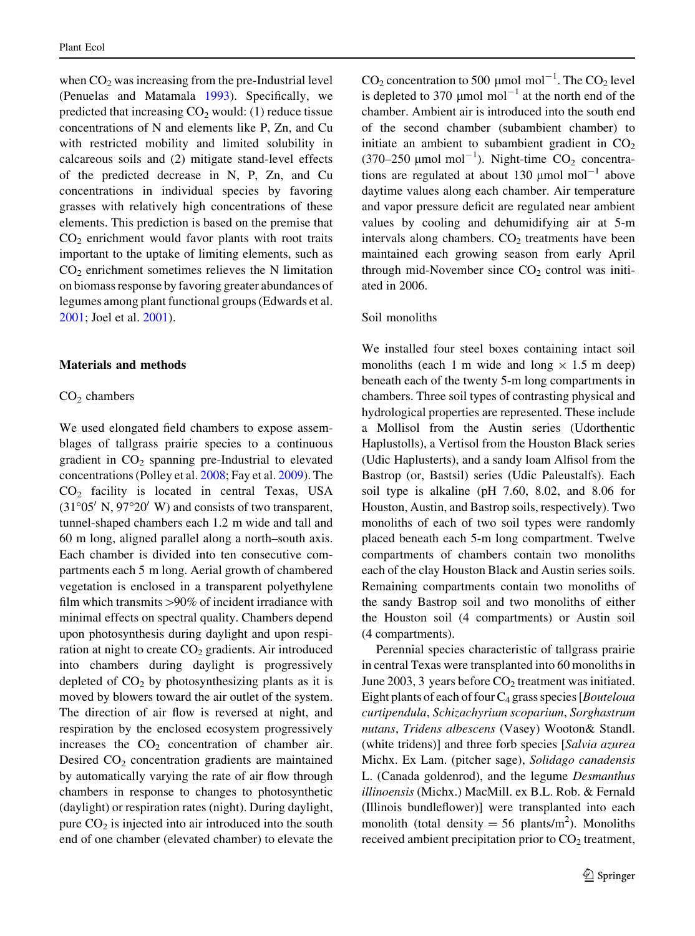when  $CO<sub>2</sub>$  was increasing from the pre-Industrial level (Penuelas and Matamala [1993](#page-12-0)). Specifically, we predicted that increasing  $CO<sub>2</sub>$  would: (1) reduce tissue concentrations of N and elements like P, Zn, and Cu with restricted mobility and limited solubility in calcareous soils and (2) mitigate stand-level effects of the predicted decrease in N, P, Zn, and Cu concentrations in individual species by favoring grasses with relatively high concentrations of these elements. This prediction is based on the premise that  $CO<sub>2</sub>$  enrichment would favor plants with root traits important to the uptake of limiting elements, such as  $CO<sub>2</sub>$  enrichment sometimes relieves the N limitation on biomass response by favoring greater abundances of legumes among plant functional groups (Edwards et al. [2001;](#page-11-0) Joel et al. [2001\)](#page-11-0).

#### Materials and methods

#### $CO<sub>2</sub>$  chambers

We used elongated field chambers to expose assemblages of tallgrass prairie species to a continuous gradient in  $CO<sub>2</sub>$  spanning pre-Industrial to elevated concentrations (Polley et al. [2008;](#page-12-0) Fay et al. [2009](#page-11-0)). The CO2 facility is located in central Texas, USA  $(31°05' N, 97°20' W)$  and consists of two transparent, tunnel-shaped chambers each 1.2 m wide and tall and 60 m long, aligned parallel along a north–south axis. Each chamber is divided into ten consecutive compartments each 5 m long. Aerial growth of chambered vegetation is enclosed in a transparent polyethylene film which transmits  $>90\%$  of incident irradiance with minimal effects on spectral quality. Chambers depend upon photosynthesis during daylight and upon respiration at night to create  $CO<sub>2</sub>$  gradients. Air introduced into chambers during daylight is progressively depleted of  $CO<sub>2</sub>$  by photosynthesizing plants as it is moved by blowers toward the air outlet of the system. The direction of air flow is reversed at night, and respiration by the enclosed ecosystem progressively increases the  $CO<sub>2</sub>$  concentration of chamber air. Desired  $CO<sub>2</sub>$  concentration gradients are maintained by automatically varying the rate of air flow through chambers in response to changes to photosynthetic (daylight) or respiration rates (night). During daylight, pure  $CO<sub>2</sub>$  is injected into air introduced into the south end of one chamber (elevated chamber) to elevate the

 $CO_2$  concentration to 500 µmol mol<sup>-1</sup>. The  $CO_2$  level is depleted to 370  $\mu$ mol mol<sup>-1</sup> at the north end of the chamber. Ambient air is introduced into the south end of the second chamber (subambient chamber) to initiate an ambient to subambient gradient in  $CO<sub>2</sub>$ (370–250  $\mu$ mol mol<sup>-1</sup>). Night-time CO<sub>2</sub> concentrations are regulated at about 130  $\mu$ mol mol<sup>-1</sup> above daytime values along each chamber. Air temperature and vapor pressure deficit are regulated near ambient values by cooling and dehumidifying air at 5-m intervals along chambers.  $CO<sub>2</sub>$  treatments have been maintained each growing season from early April through mid-November since  $CO<sub>2</sub>$  control was initiated in 2006.

# Soil monoliths

We installed four steel boxes containing intact soil monoliths (each 1 m wide and long  $\times$  1.5 m deep) beneath each of the twenty 5-m long compartments in chambers. Three soil types of contrasting physical and hydrological properties are represented. These include a Mollisol from the Austin series (Udorthentic Haplustolls), a Vertisol from the Houston Black series (Udic Haplusterts), and a sandy loam Alfisol from the Bastrop (or, Bastsil) series (Udic Paleustalfs). Each soil type is alkaline (pH 7.60, 8.02, and 8.06 for Houston, Austin, and Bastrop soils, respectively). Two monoliths of each of two soil types were randomly placed beneath each 5-m long compartment. Twelve compartments of chambers contain two monoliths each of the clay Houston Black and Austin series soils. Remaining compartments contain two monoliths of the sandy Bastrop soil and two monoliths of either the Houston soil (4 compartments) or Austin soil (4 compartments).

Perennial species characteristic of tallgrass prairie in central Texas were transplanted into 60 monoliths in June 2003, 3 years before  $CO<sub>2</sub>$  treatment was initiated. Eight plants of each of four  $C_4$  grass species [*Bouteloua* curtipendula, Schizachyrium scoparium, Sorghastrum nutans, Tridens albescens (Vasey) Wooton& Standl. (white tridens)] and three forb species [Salvia azurea Michx. Ex Lam. (pitcher sage), Solidago canadensis L. (Canada goldenrod), and the legume Desmanthus illinoensis (Michx.) MacMill. ex B.L. Rob. & Fernald (Illinois bundleflower)] were transplanted into each monolith (total density  $= 56$  plants/m<sup>2</sup>). Monoliths received ambient precipitation prior to  $CO<sub>2</sub>$  treatment,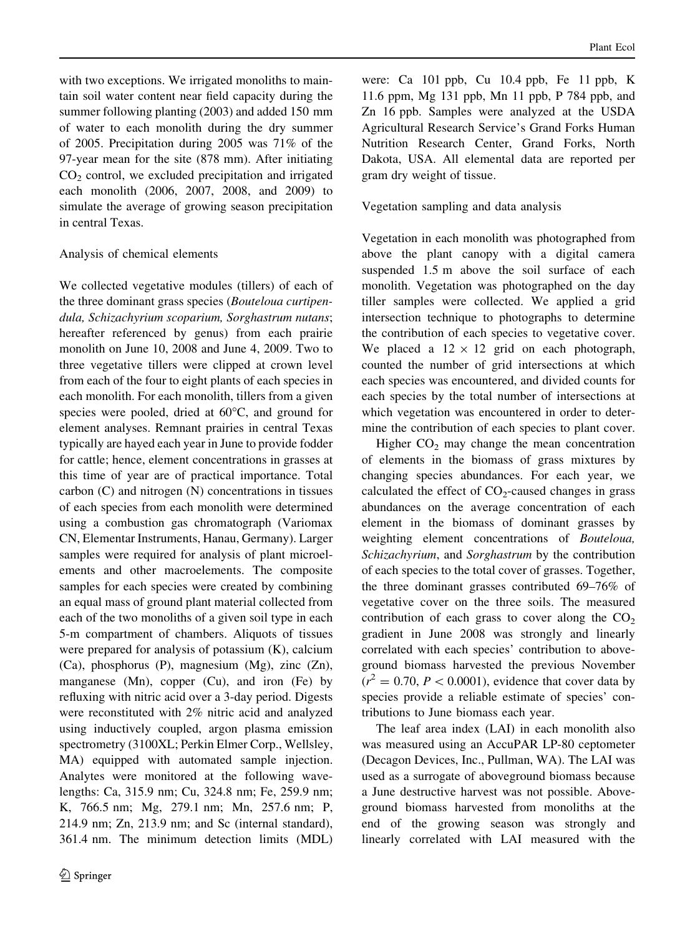with two exceptions. We irrigated monoliths to maintain soil water content near field capacity during the summer following planting (2003) and added 150 mm of water to each monolith during the dry summer of 2005. Precipitation during 2005 was 71% of the 97-year mean for the site (878 mm). After initiating  $CO<sub>2</sub>$  control, we excluded precipitation and irrigated each monolith (2006, 2007, 2008, and 2009) to simulate the average of growing season precipitation in central Texas.

# Analysis of chemical elements

We collected vegetative modules (tillers) of each of the three dominant grass species (Bouteloua curtipendula, Schizachyrium scoparium, Sorghastrum nutans; hereafter referenced by genus) from each prairie monolith on June 10, 2008 and June 4, 2009. Two to three vegetative tillers were clipped at crown level from each of the four to eight plants of each species in each monolith. For each monolith, tillers from a given species were pooled, dried at  $60^{\circ}$ C, and ground for element analyses. Remnant prairies in central Texas typically are hayed each year in June to provide fodder for cattle; hence, element concentrations in grasses at this time of year are of practical importance. Total carbon (C) and nitrogen (N) concentrations in tissues of each species from each monolith were determined using a combustion gas chromatograph (Variomax CN, Elementar Instruments, Hanau, Germany). Larger samples were required for analysis of plant microelements and other macroelements. The composite samples for each species were created by combining an equal mass of ground plant material collected from each of the two monoliths of a given soil type in each 5-m compartment of chambers. Aliquots of tissues were prepared for analysis of potassium (K), calcium (Ca), phosphorus (P), magnesium (Mg), zinc (Zn), manganese (Mn), copper (Cu), and iron (Fe) by refluxing with nitric acid over a 3-day period. Digests were reconstituted with 2% nitric acid and analyzed using inductively coupled, argon plasma emission spectrometry (3100XL; Perkin Elmer Corp., Wellsley, MA) equipped with automated sample injection. Analytes were monitored at the following wavelengths: Ca, 315.9 nm; Cu, 324.8 nm; Fe, 259.9 nm; K, 766.5 nm; Mg, 279.1 nm; Mn, 257.6 nm; P, 214.9 nm; Zn, 213.9 nm; and Sc (internal standard), 361.4 nm. The minimum detection limits (MDL)

were: Ca 101 ppb, Cu 10.4 ppb, Fe 11 ppb, K 11.6 ppm, Mg 131 ppb, Mn 11 ppb, P 784 ppb, and Zn 16 ppb. Samples were analyzed at the USDA Agricultural Research Service's Grand Forks Human Nutrition Research Center, Grand Forks, North Dakota, USA. All elemental data are reported per gram dry weight of tissue.

Vegetation sampling and data analysis

Vegetation in each monolith was photographed from above the plant canopy with a digital camera suspended 1.5 m above the soil surface of each monolith. Vegetation was photographed on the day tiller samples were collected. We applied a grid intersection technique to photographs to determine the contribution of each species to vegetative cover. We placed a  $12 \times 12$  grid on each photograph, counted the number of grid intersections at which each species was encountered, and divided counts for each species by the total number of intersections at which vegetation was encountered in order to determine the contribution of each species to plant cover.

Higher  $CO<sub>2</sub>$  may change the mean concentration of elements in the biomass of grass mixtures by changing species abundances. For each year, we calculated the effect of  $CO<sub>2</sub>$ -caused changes in grass abundances on the average concentration of each element in the biomass of dominant grasses by weighting element concentrations of Bouteloua, Schizachyrium, and Sorghastrum by the contribution of each species to the total cover of grasses. Together, the three dominant grasses contributed 69–76% of vegetative cover on the three soils. The measured contribution of each grass to cover along the  $CO<sub>2</sub>$ gradient in June 2008 was strongly and linearly correlated with each species' contribution to aboveground biomass harvested the previous November  $(r^2 = 0.70, P < 0.0001)$ , evidence that cover data by species provide a reliable estimate of species' contributions to June biomass each year.

The leaf area index (LAI) in each monolith also was measured using an AccuPAR LP-80 ceptometer (Decagon Devices, Inc., Pullman, WA). The LAI was used as a surrogate of aboveground biomass because a June destructive harvest was not possible. Aboveground biomass harvested from monoliths at the end of the growing season was strongly and linearly correlated with LAI measured with the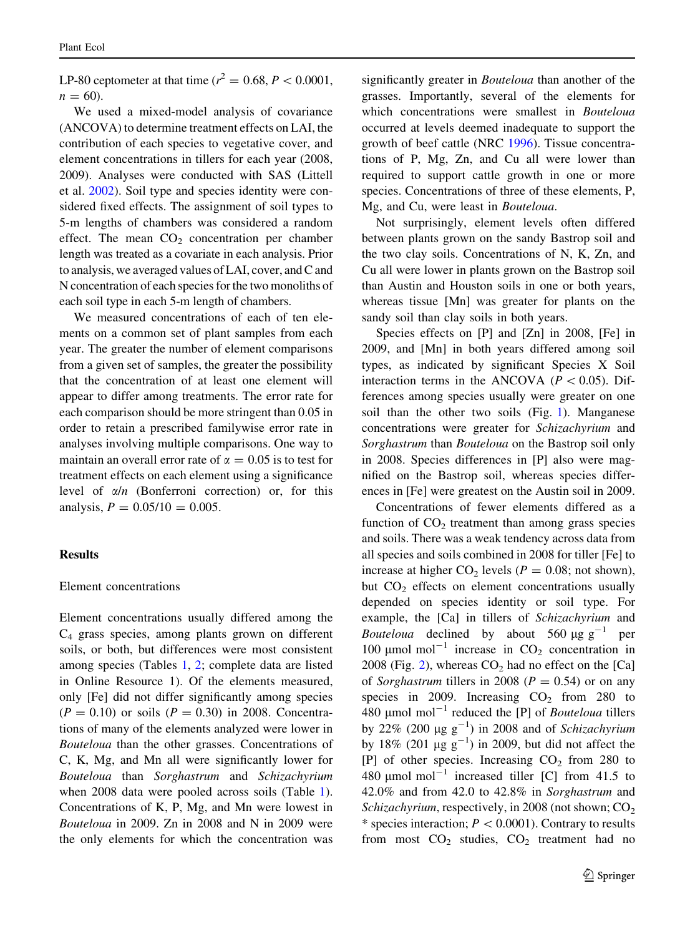LP-80 ceptometer at that time ( $r^2 = 0.68, P < 0.0001$ ,  $n = 60$ .

We used a mixed-model analysis of covariance (ANCOVA) to determine treatment effects on LAI, the contribution of each species to vegetative cover, and element concentrations in tillers for each year (2008, 2009). Analyses were conducted with SAS (Littell et al. [2002](#page-12-0)). Soil type and species identity were considered fixed effects. The assignment of soil types to 5-m lengths of chambers was considered a random effect. The mean  $CO<sub>2</sub>$  concentration per chamber length was treated as a covariate in each analysis. Prior to analysis, we averaged values of LAI, cover, and C and N concentration of each species for the two monoliths of each soil type in each 5-m length of chambers.

We measured concentrations of each of ten elements on a common set of plant samples from each year. The greater the number of element comparisons from a given set of samples, the greater the possibility that the concentration of at least one element will appear to differ among treatments. The error rate for each comparison should be more stringent than 0.05 in order to retain a prescribed familywise error rate in analyses involving multiple comparisons. One way to maintain an overall error rate of  $\alpha = 0.05$  is to test for treatment effects on each element using a significance level of  $\alpha/n$  (Bonferroni correction) or, for this analysis,  $P = 0.05/10 = 0.005$ .

# Results

#### Element concentrations

Element concentrations usually differed among the C4 grass species, among plants grown on different soils, or both, but differences were most consistent among species (Tables [1,](#page-5-0) [2;](#page-6-0) complete data are listed in Online Resource 1). Of the elements measured, only [Fe] did not differ significantly among species  $(P = 0.10)$  or soils  $(P = 0.30)$  in 2008. Concentrations of many of the elements analyzed were lower in Bouteloua than the other grasses. Concentrations of C, K, Mg, and Mn all were significantly lower for Bouteloua than Sorghastrum and Schizachyrium when 2008 data were pooled across soils (Table [1](#page-5-0)). Concentrations of K, P, Mg, and Mn were lowest in Bouteloua in 2009. Zn in 2008 and N in 2009 were the only elements for which the concentration was significantly greater in Bouteloua than another of the grasses. Importantly, several of the elements for which concentrations were smallest in *Bouteloua* occurred at levels deemed inadequate to support the growth of beef cattle (NRC [1996\)](#page-12-0). Tissue concentrations of P, Mg, Zn, and Cu all were lower than required to support cattle growth in one or more species. Concentrations of three of these elements, P, Mg, and Cu, were least in Bouteloua.

Not surprisingly, element levels often differed between plants grown on the sandy Bastrop soil and the two clay soils. Concentrations of N, K, Zn, and Cu all were lower in plants grown on the Bastrop soil than Austin and Houston soils in one or both years, whereas tissue [Mn] was greater for plants on the sandy soil than clay soils in both years.

Species effects on [P] and [Zn] in 2008, [Fe] in 2009, and [Mn] in both years differed among soil types, as indicated by significant Species X Soil interaction terms in the ANCOVA ( $P < 0.05$ ). Differences among species usually were greater on one soil than the other two soils (Fig. [1](#page-7-0)). Manganese concentrations were greater for Schizachyrium and Sorghastrum than Bouteloua on the Bastrop soil only in 2008. Species differences in [P] also were magnified on the Bastrop soil, whereas species differences in [Fe] were greatest on the Austin soil in 2009.

Concentrations of fewer elements differed as a function of  $CO<sub>2</sub>$  treatment than among grass species and soils. There was a weak tendency across data from all species and soils combined in 2008 for tiller [Fe] to increase at higher  $CO_2$  levels ( $P = 0.08$ ; not shown), but  $CO<sub>2</sub>$  effects on element concentrations usually depended on species identity or soil type. For example, the [Ca] in tillers of Schizachyrium and *Bouteloua* declined by about 560  $\mu$ g g<sup>-1</sup> per 100  $\mu$ mol mol<sup>-1</sup> increase in CO<sub>2</sub> concentration in  $2008$  (Fig. [2\)](#page-8-0), whereas  $CO<sub>2</sub>$  had no effect on the [Ca] of Sorghastrum tillers in 2008 ( $P = 0.54$ ) or on any species in 2009. Increasing  $CO<sub>2</sub>$  from 280 to 480  $\mu$ mol mol<sup>-1</sup> reduced the [P] of *Bouteloua* tillers by 22% (200  $\mu$ g g<sup>-1</sup>) in 2008 and of Schizachyrium by 18% (201  $\mu$ g g<sup>-1</sup>) in 2009, but did not affect the [P] of other species. Increasing  $CO<sub>2</sub>$  from 280 to 480  $\mu$ mol mol<sup>-1</sup> increased tiller [C] from 41.5 to 42.0% and from 42.0 to 42.8% in Sorghastrum and Schizachyrium, respectively, in 2008 (not shown;  $CO<sub>2</sub>$ )  $*$  species interaction;  $P < 0.0001$ ). Contrary to results from most  $CO<sub>2</sub>$  studies,  $CO<sub>2</sub>$  treatment had no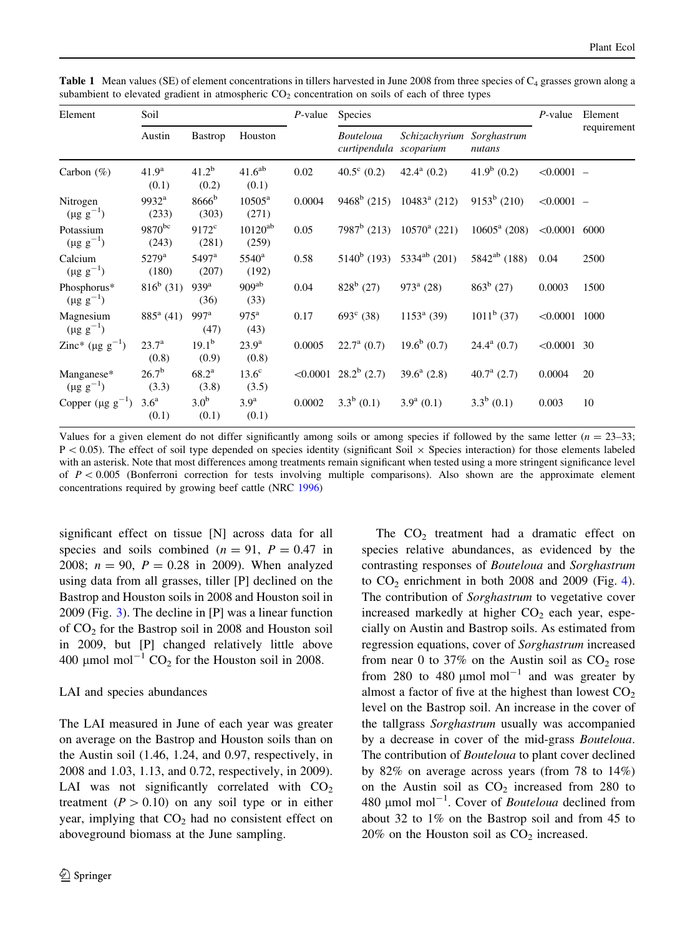| Element                            | Soil                         |                           |                             | $P$ -value | Species                               |                                |                       | $P$ -value      | Element     |
|------------------------------------|------------------------------|---------------------------|-----------------------------|------------|---------------------------------------|--------------------------------|-----------------------|-----------------|-------------|
|                                    | Austin                       | <b>Bastrop</b>            | Houston                     |            | Bouteloua<br>curtipendula scoparium   | Schizachyrium                  | Sorghastrum<br>nutans |                 | requirement |
| Carbon $(\%)$                      | 41.9 <sup>a</sup><br>(0.1)   | $41.2^b$<br>(0.2)         | 41.6 <sup>ab</sup><br>(0.1) | 0.02       | $40.5^{\circ}$ (0.2)                  | $42.4^{\rm a}$ (0.2)           | $41.9^b$ (0.2)        | $< 0.0001 -$    |             |
| Nitrogen<br>$(\mu g g^{-1})$       | $9932^{\rm a}$<br>(233)      | $8666^{\rm b}$<br>(303)   | $10505^{\rm a}$<br>(271)    | 0.0004     |                                       | $9468^b$ (215) $10483^a$ (212) | $9153^b$ (210)        | $< 0.0001 -$    |             |
| Potassium<br>$(\mu g g^{-1})$      | $9870^{bc}$<br>(243)         | $9172^{\circ}$<br>(281)   | $10120^{ab}$<br>(259)       | 0.05       | $7987^b$ (213)                        | $10570^{\circ}$ (221)          | $10605^{\rm a}$ (208) | $< 0.0001$ 6000 |             |
| Calcium<br>$(\mu g g^{-1})$        | $5279$ <sup>a</sup><br>(180) | $5497^{\rm a}$<br>(207)   | $5540^{\rm a}$<br>(192)     | 0.58       | $5140^b$ (193)                        | $5334^{ab}$ (201)              | $5842^{ab}$ (188)     | 0.04            | 2500        |
| Phosphorus*<br>$(\mu g g^{-1})$    | $816^b$ (31)                 | 939 <sup>a</sup><br>(36)  | 909 <sup>ab</sup><br>(33)   | 0.04       | $828^b$ (27)                          | $973^{\rm a}$ (28)             | $863^b$ (27)          | 0.0003          | 1500        |
| Magnesium<br>$(\mu g g^{-1})$      | $885^{\rm a}$ (41)           | 997 <sup>a</sup><br>(47)  | $975^{\mathrm{a}}$<br>(43)  | 0.17       | $693^{\circ}$ (38)                    | $1153^a$ (39)                  | $1011^b$ (37)         | $< 0.0001$ 1000 |             |
| Zinc* ( $\mu$ g g <sup>-1</sup> )  | $23.7^{\rm a}$<br>(0.8)      | $19.1^{\rm b}$<br>(0.9)   | $23.9^{\rm a}$<br>(0.8)     | 0.0005     | $22.7^{\rm a}$ (0.7)                  | $19.6^b$ (0.7)                 | $24.4^a$ (0.7)        | $< 0.0001$ 30   |             |
| Manganese*<br>$(\mu g g^{-1})$     | $26.7^{b}$<br>(3.3)          | $68.2^{\rm a}$<br>(3.8)   | $13.6^\circ$<br>(3.5)       |            | $\leq 0.0001$ 28.2 <sup>b</sup> (2.7) | $39.6^a$ (2.8)                 | 40.7 $^{\rm a}$ (2.7) | 0.0004          | 20          |
| Copper ( $\mu$ g g <sup>-1</sup> ) | 3.6 <sup>a</sup><br>(0.1)    | 3.0 <sup>b</sup><br>(0.1) | 3.9 <sup>a</sup><br>(0.1)   | 0.0002     | $3.3^b$ (0.1)                         | $3.9^a$ (0.1)                  | $3.3^b$ (0.1)         | 0.003           | 10          |

<span id="page-5-0"></span>**Table 1** Mean values (SE) of element concentrations in tillers harvested in June 2008 from three species of  $C_4$  grasses grown along a subambient to elevated gradient in atmospheric  $CO<sub>2</sub>$  concentration on soils of each of three types

Values for a given element do not differ significantly among soils or among species if followed by the same letter  $(n = 23-33)$ ;  $P<0.05$ ). The effect of soil type depended on species identity (significant Soil  $\times$  Species interaction) for those elements labeled with an asterisk. Note that most differences among treatments remain significant when tested using a more stringent significance level of  $P < 0.005$  (Bonferroni correction for tests involving multiple comparisons). Also shown are the approximate element concentrations required by growing beef cattle (NRC [1996](#page-12-0))

significant effect on tissue [N] across data for all species and soils combined ( $n = 91$ ,  $P = 0.47$  in 2008;  $n = 90$ ,  $P = 0.28$  in 2009). When analyzed using data from all grasses, tiller [P] declined on the Bastrop and Houston soils in 2008 and Houston soil in 2009 (Fig. [3\)](#page-8-0). The decline in [P] was a linear function of  $CO<sub>2</sub>$  for the Bastrop soil in 2008 and Houston soil in 2009, but [P] changed relatively little above 400  $\mu$ mol mol<sup>-1</sup> CO<sub>2</sub> for the Houston soil in 2008.

# LAI and species abundances

The LAI measured in June of each year was greater on average on the Bastrop and Houston soils than on the Austin soil (1.46, 1.24, and 0.97, respectively, in 2008 and 1.03, 1.13, and 0.72, respectively, in 2009). LAI was not significantly correlated with  $CO<sub>2</sub>$ treatment ( $P > 0.10$ ) on any soil type or in either year, implying that  $CO<sub>2</sub>$  had no consistent effect on aboveground biomass at the June sampling.

The  $CO<sub>2</sub>$  treatment had a dramatic effect on species relative abundances, as evidenced by the contrasting responses of Bouteloua and Sorghastrum to  $CO<sub>2</sub>$  enrichment in both 2008 and 2009 (Fig. [4](#page-9-0)). The contribution of Sorghastrum to vegetative cover increased markedly at higher  $CO<sub>2</sub>$  each year, especially on Austin and Bastrop soils. As estimated from regression equations, cover of Sorghastrum increased from near 0 to 37% on the Austin soil as  $CO<sub>2</sub>$  rose from 280 to 480  $\mu$ mol mol<sup>-1</sup> and was greater by almost a factor of five at the highest than lowest  $CO<sub>2</sub>$ level on the Bastrop soil. An increase in the cover of the tallgrass Sorghastrum usually was accompanied by a decrease in cover of the mid-grass Bouteloua. The contribution of *Bouteloua* to plant cover declined by 82% on average across years (from 78 to 14%) on the Austin soil as  $CO<sub>2</sub>$  increased from 280 to 480  $\mu$ mol mol<sup>-1</sup>. Cover of *Bouteloua* declined from about 32 to 1% on the Bastrop soil and from 45 to  $20\%$  on the Houston soil as  $CO<sub>2</sub>$  increased.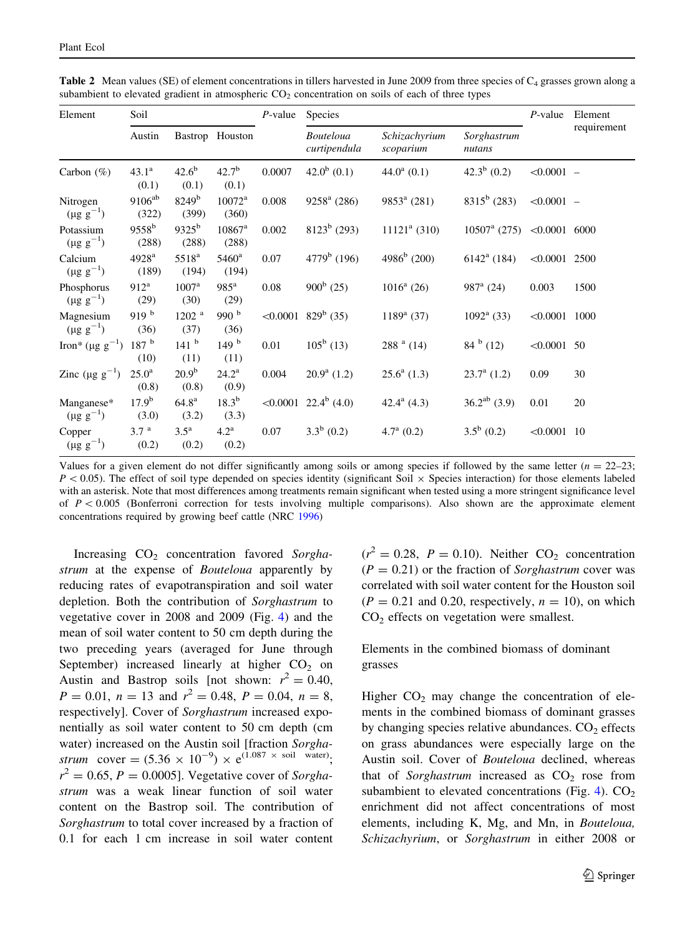| Element                           | Soil                       |                             |                             | $P$ -value | <b>Species</b>                        | $P$ -value                 | Element               |                 |             |
|-----------------------------------|----------------------------|-----------------------------|-----------------------------|------------|---------------------------------------|----------------------------|-----------------------|-----------------|-------------|
|                                   | Austin                     |                             | Bastrop Houston             |            | <b>Bouteloua</b><br>curtipendula      | Schizachyrium<br>scoparium | Sorghastrum<br>nutans |                 | requirement |
| Carbon $(\% )$                    | $43.1^a$<br>(0.1)          | $42.6^{b}$<br>(0.1)         | $42.7^{b}$<br>(0.1)         | 0.0007     | $42.0^b$ (0.1)                        | $44.0a$ (0.1)              | $42.3^b$ (0.2)        | $< 0.0001 -$    |             |
| Nitrogen<br>$(\mu g g^{-1})$      | $9106^{ab}$<br>(322)       | $8249^{\rm b}$<br>(399)     | $10072^a$<br>(360)          | 0.008      | $9258^{\rm a}$ (286)                  | $9853^a$ (281)             | $8315^b$ (283)        | $< 0.0001 -$    |             |
| Potassium<br>$(\mu g g^{-1})$     | $9558^{\rm b}$<br>(288)    | $9325^{b}$<br>(288)         | $10867^{\rm a}$<br>(288)    | 0.002      | $8123^b$ (293)                        | $11121a$ (310)             | $10507^{\rm a}$ (275) | $< 0.0001$ 6000 |             |
| Calcium<br>$(\mu g g^{-1})$       | 4928 <sup>a</sup><br>(189) | 5518 <sup>a</sup><br>(194)  | $5460^{\rm a}$<br>(194)     | 0.07       | $4779b$ (196)                         | $4986^b$ (200)             | $6142^{\rm a}$ (184)  | $< 0.0001$ 2500 |             |
| Phosphorus<br>$(\mu g g^{-1})$    | $912^a$<br>(29)            | 1007 <sup>a</sup><br>(30)   | $985^{\mathrm{a}}$<br>(29)  | 0.08       | $900^b$ (25)                          | $1016^a$ (26)              | 987 $a(24)$           | 0.003           | 1500        |
| Magnesium<br>$(\mu g g^{-1})$     | 919 <sup>b</sup><br>(36)   | 1202 <sup>a</sup><br>(37)   | 990 $b$<br>(36)             |            | $\leq 0.0001$ 829 <sup>b</sup> (35)   | $1189^a$ (37)              | $1092^{\rm a}$ (33)   | $< 0.0001$ 1000 |             |
| Iron* ( $\mu$ g g <sup>-1</sup> ) | 187h<br>(10)               | 141 <sup>b</sup><br>(11)    | 149 <sup>b</sup><br>(11)    | 0.01       | $105^b$ (13)                          | $288a$ (14)                | $84^{b}$ (12)         | $< 0.0001$ 50   |             |
| Zinc ( $\mu$ g g <sup>-1</sup> )  | 25.0 <sup>a</sup><br>(0.8) | $20.9^{b}$<br>(0.8)         | $24.2^{\rm a}$<br>(0.9)     | 0.004      | $20.9^a$ (1.2)                        | $25.6^a$ (1.3)             | $23.7^{\rm a}$ (1.2)  | 0.09            | 30          |
| Manganese*<br>$(\mu g g^{-1})$    | $17.9^{b}$<br>(3.0)        | 64.8 <sup>a</sup><br>(3.2)  | $18.3^{b}$<br>(3.3)         |            | $\leq 0.0001$ 22.4 <sup>b</sup> (4.0) | 42.4 $^{a}$ (4.3)          | $36.2^{ab}$ (3.9)     | 0.01            | 20          |
| Copper<br>$(\mu g g^{-1})$        | 3.7 <sup>a</sup><br>(0.2)  | $3.5^{\mathrm{a}}$<br>(0.2) | $4.2^{\mathrm{a}}$<br>(0.2) | 0.07       | $3.3^b$ (0.2)                         | $4.7^{\mathrm{a}}$ (0.2)   | $3.5^b$ (0.2)         | $< 0.0001$ 10   |             |

<span id="page-6-0"></span>**Table 2** Mean values (SE) of element concentrations in tillers harvested in June 2009 from three species of  $C_4$  grasses grown along a subambient to elevated gradient in atmospheric  $CO<sub>2</sub>$  concentration on soils of each of three types

Values for a given element do not differ significantly among soils or among species if followed by the same letter  $(n = 22-23)$ ;  $P < 0.05$ ). The effect of soil type depended on species identity (significant Soil  $\times$  Species interaction) for those elements labeled with an asterisk. Note that most differences among treatments remain significant when tested using a more stringent significance level of  $P < 0.005$  (Bonferroni correction for tests involving multiple comparisons). Also shown are the approximate element concentrations required by growing beef cattle (NRC [1996](#page-12-0))

Increasing  $CO<sub>2</sub>$  concentration favored Sorghastrum at the expense of *Bouteloua* apparently by reducing rates of evapotranspiration and soil water depletion. Both the contribution of Sorghastrum to vegetative cover in 2008 and 2009 (Fig. [4](#page-9-0)) and the mean of soil water content to 50 cm depth during the two preceding years (averaged for June through September) increased linearly at higher  $CO<sub>2</sub>$  on Austin and Bastrop soils [not shown:  $r^2 = 0.40$ ,  $P = 0.01$ ,  $n = 13$  and  $r<sup>2</sup> = 0.48$ ,  $P = 0.04$ ,  $n = 8$ , respectively]. Cover of Sorghastrum increased exponentially as soil water content to 50 cm depth (cm water) increased on the Austin soil [fraction Sorghastrum cover =  $(5.36 \times 10^{-9}) \times e^{(1.087 \times \text{ soil water})}$ ;  $r^2 = 0.65$ ,  $P = 0.0005$ . Vegetative cover of Sorghastrum was a weak linear function of soil water content on the Bastrop soil. The contribution of Sorghastrum to total cover increased by a fraction of 0.1 for each 1 cm increase in soil water content

 $(r^2 = 0.28, P = 0.10)$ . Neither CO<sub>2</sub> concentration  $(P = 0.21)$  or the fraction of *Sorghastrum* cover was correlated with soil water content for the Houston soil  $(P = 0.21$  and 0.20, respectively,  $n = 10$ ), on which CO2 effects on vegetation were smallest.

# Elements in the combined biomass of dominant grasses

Higher  $CO<sub>2</sub>$  may change the concentration of elements in the combined biomass of dominant grasses by changing species relative abundances.  $CO<sub>2</sub>$  effects on grass abundances were especially large on the Austin soil. Cover of Bouteloua declined, whereas that of Sorghastrum increased as  $CO<sub>2</sub>$  rose from subambient to elevated concentrations (Fig. [4](#page-9-0)).  $CO<sub>2</sub>$ enrichment did not affect concentrations of most elements, including K, Mg, and Mn, in Bouteloua, Schizachyrium, or Sorghastrum in either 2008 or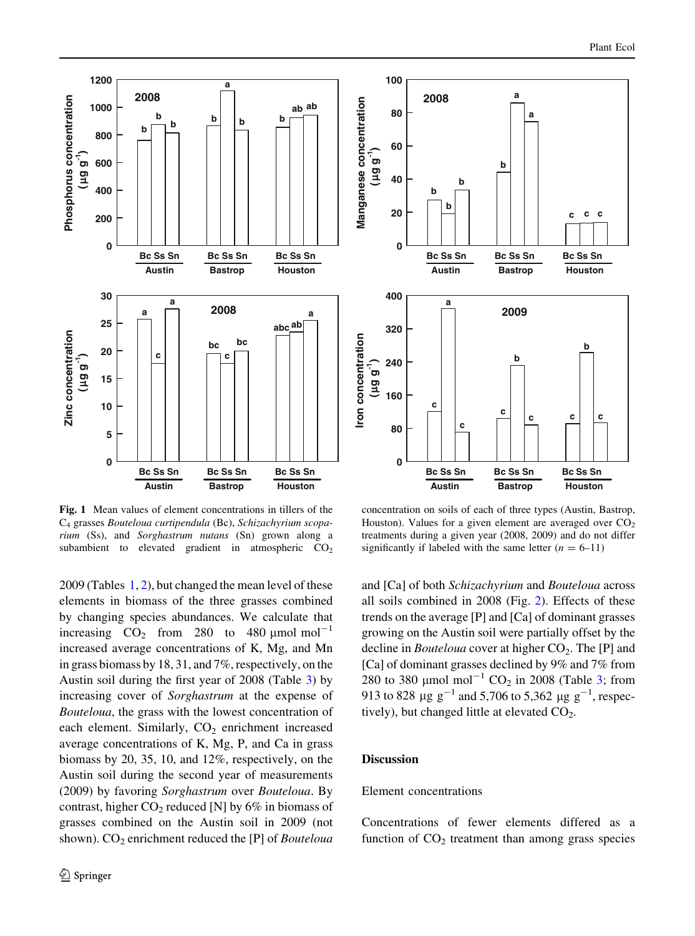<span id="page-7-0"></span>



**b**

**a a**

Fig. 1 Mean values of element concentrations in tillers of the C4 grasses Bouteloua curtipendula (Bc), Schizachyrium scoparium (Ss), and Sorghastrum nutans (Sn) grown along a subambient to elevated gradient in atmospheric  $CO<sub>2</sub>$ 

2009 (Tables [1,](#page-5-0) [2\)](#page-6-0), but changed the mean level of these elements in biomass of the three grasses combined by changing species abundances. We calculate that increasing  $CO<sub>2</sub>$  from 280 to 480 µmol mol<sup>-1</sup> increased average concentrations of K, Mg, and Mn in grass biomass by 18, 31, and 7%, respectively, on the Austin soil during the first year of 2008 (Table [3\)](#page-10-0) by increasing cover of Sorghastrum at the expense of Bouteloua, the grass with the lowest concentration of each element. Similarly,  $CO<sub>2</sub>$  enrichment increased average concentrations of K, Mg, P, and Ca in grass biomass by 20, 35, 10, and 12%, respectively, on the Austin soil during the second year of measurements (2009) by favoring Sorghastrum over Bouteloua. By contrast, higher  $CO<sub>2</sub>$  reduced [N] by 6% in biomass of grasses combined on the Austin soil in 2009 (not shown).  $CO<sub>2</sub>$  enrichment reduced the [P] of *Bouteloua* 

concentration on soils of each of three types (Austin, Bastrop, Houston). Values for a given element are averaged over  $CO<sub>2</sub>$ treatments during a given year (2008, 2009) and do not differ significantly if labeled with the same letter  $(n = 6-11)$ 

and [Ca] of both Schizachyrium and Bouteloua across all soils combined in 2008 (Fig. [2](#page-8-0)). Effects of these trends on the average [P] and [Ca] of dominant grasses growing on the Austin soil were partially offset by the decline in *Bouteloua* cover at higher  $CO<sub>2</sub>$ . The [P] and [Ca] of dominant grasses declined by 9% and 7% from 280 to 380  $\mu$ mol mol<sup>-1</sup> CO<sub>2</sub> in 2008 (Table [3;](#page-10-0) from 913 to 828  $\mu$ g g<sup>-1</sup> and 5,706 to 5,362  $\mu$ g g<sup>-1</sup>, respectively), but changed little at elevated  $CO<sub>2</sub>$ .

# **Discussion**

**0**

**20**

 **(**

**40**

**b b**

**2008**

**b**

**60**

**80**

**100**

# Element concentrations

Concentrations of fewer elements differed as a function of  $CO<sub>2</sub>$  treatment than among grass species

**c c c**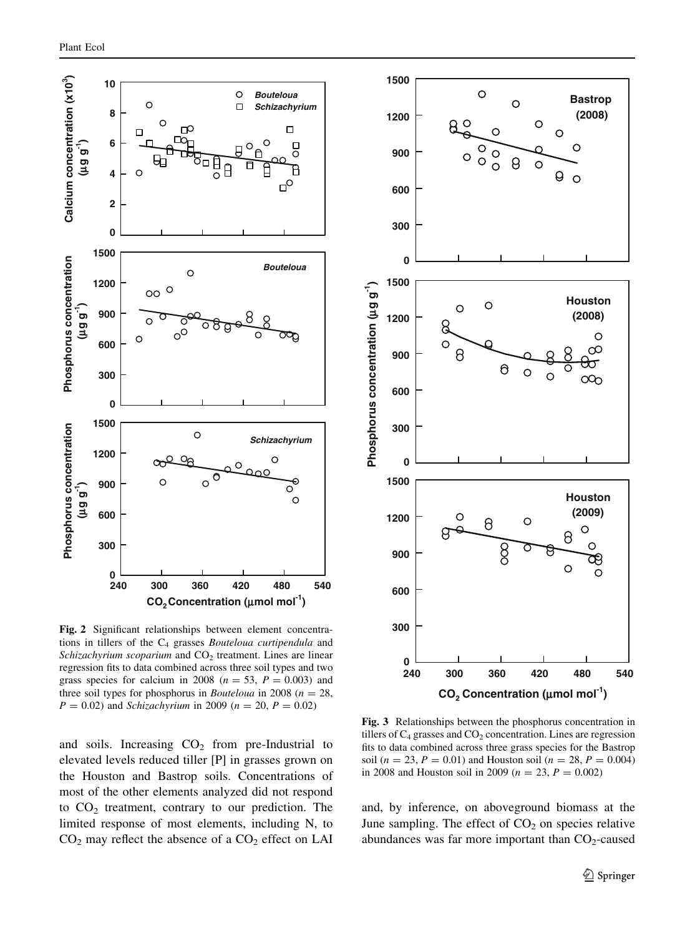<span id="page-8-0"></span>

Fig. 2 Significant relationships between element concentrations in tillers of the  $C_4$  grasses *Bouteloua curtipendula* and Schizachyrium scoparium and  $CO<sub>2</sub>$  treatment. Lines are linear regression fits to data combined across three soil types and two grass species for calcium in 2008 ( $n = 53$ ,  $P = 0.003$ ) and three soil types for phosphorus in *Bouteloua* in 2008 ( $n = 28$ ,  $P = 0.02$ ) and *Schizachyrium* in 2009 ( $n = 20$ ,  $P = 0.02$ )

and soils. Increasing  $CO<sub>2</sub>$  from pre-Industrial to elevated levels reduced tiller [P] in grasses grown on the Houston and Bastrop soils. Concentrations of most of the other elements analyzed did not respond to  $CO<sub>2</sub>$  treatment, contrary to our prediction. The limited response of most elements, including N, to  $CO<sub>2</sub>$  may reflect the absence of a  $CO<sub>2</sub>$  effect on LAI



Fig. 3 Relationships between the phosphorus concentration in tillers of  $C_4$  grasses and  $CO_2$  concentration. Lines are regression fits to data combined across three grass species for the Bastrop soil ( $n = 23$ ,  $P = 0.01$ ) and Houston soil ( $n = 28$ ,  $P = 0.004$ ) in 2008 and Houston soil in 2009 ( $n = 23$ ,  $P = 0.002$ )

and, by inference, on aboveground biomass at the June sampling. The effect of  $CO<sub>2</sub>$  on species relative abundances was far more important than  $CO<sub>2</sub>$ -caused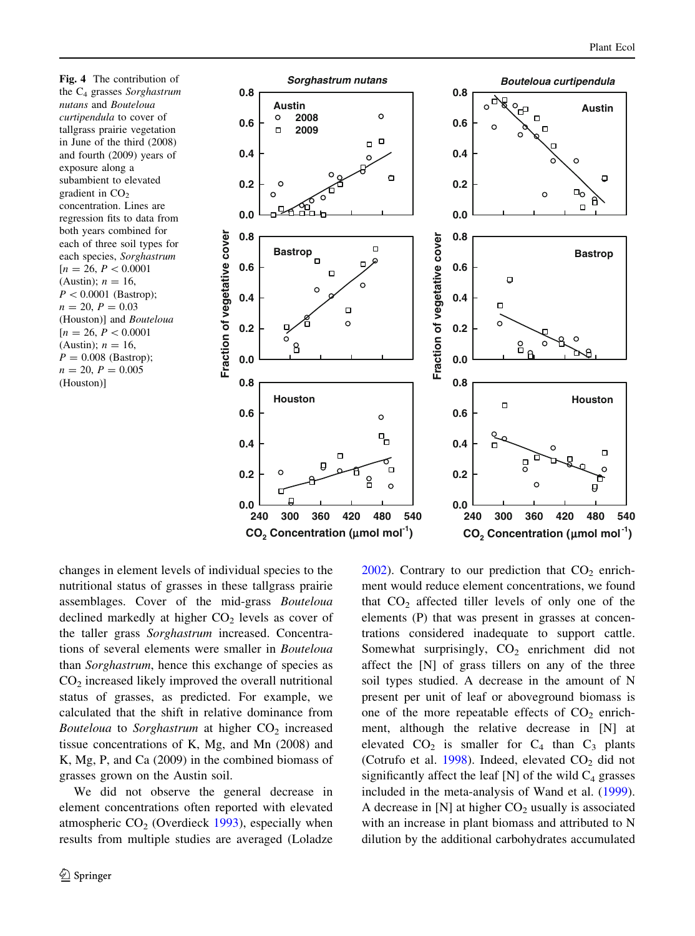<span id="page-9-0"></span>Fig. 4 The contribution of the  $C_4$  grasses Sorghastrum nutans and Bouteloua curtipendula to cover of tallgrass prairie vegetation in June of the third (2008) and fourth (2009) years of exposure along a subambient to elevated gradient in  $CO<sub>2</sub>$ concentration. Lines are regression fits to data from both years combined for each of three soil types for each species, Sorghastrum  $[n = 26, P < 0.0001]$ (Austin);  $n = 16$ ,  $P < 0.0001$  (Bastrop);  $n = 20, P = 0.03$ (Houston)] and Bouteloua  $[n = 26, P < 0.0001]$ (Austin);  $n = 16$ ,  $P = 0.008$  (Bastrop);  $n = 20, P = 0.005$ (Houston)]



changes in element levels of individual species to the nutritional status of grasses in these tallgrass prairie assemblages. Cover of the mid-grass Bouteloua declined markedly at higher  $CO<sub>2</sub>$  levels as cover of the taller grass Sorghastrum increased. Concentrations of several elements were smaller in Bouteloua than Sorghastrum, hence this exchange of species as  $CO<sub>2</sub>$  increased likely improved the overall nutritional status of grasses, as predicted. For example, we calculated that the shift in relative dominance from Bouteloua to Sorghastrum at higher  $CO<sub>2</sub>$  increased tissue concentrations of K, Mg, and Mn (2008) and K, Mg, P, and Ca (2009) in the combined biomass of grasses grown on the Austin soil.

We did not observe the general decrease in element concentrations often reported with elevated atmospheric  $CO<sub>2</sub>$  (Overdieck [1993](#page-12-0)), especially when results from multiple studies are averaged (Loladze  $2002$ ). Contrary to our prediction that  $CO<sub>2</sub>$  enrichment would reduce element concentrations, we found that  $CO<sub>2</sub>$  affected tiller levels of only one of the elements (P) that was present in grasses at concentrations considered inadequate to support cattle. Somewhat surprisingly,  $CO<sub>2</sub>$  enrichment did not affect the [N] of grass tillers on any of the three soil types studied. A decrease in the amount of N present per unit of leaf or aboveground biomass is one of the more repeatable effects of  $CO<sub>2</sub>$  enrichment, although the relative decrease in [N] at elevated  $CO_2$  is smaller for  $C_4$  than  $C_3$  plants (Cotrufo et al. [1998](#page-11-0)). Indeed, elevated  $CO<sub>2</sub>$  did not significantly affect the leaf [N] of the wild  $C_4$  grasses included in the meta-analysis of Wand et al. ([1999](#page-12-0)). A decrease in  $[N]$  at higher  $CO<sub>2</sub>$  usually is associated with an increase in plant biomass and attributed to N dilution by the additional carbohydrates accumulated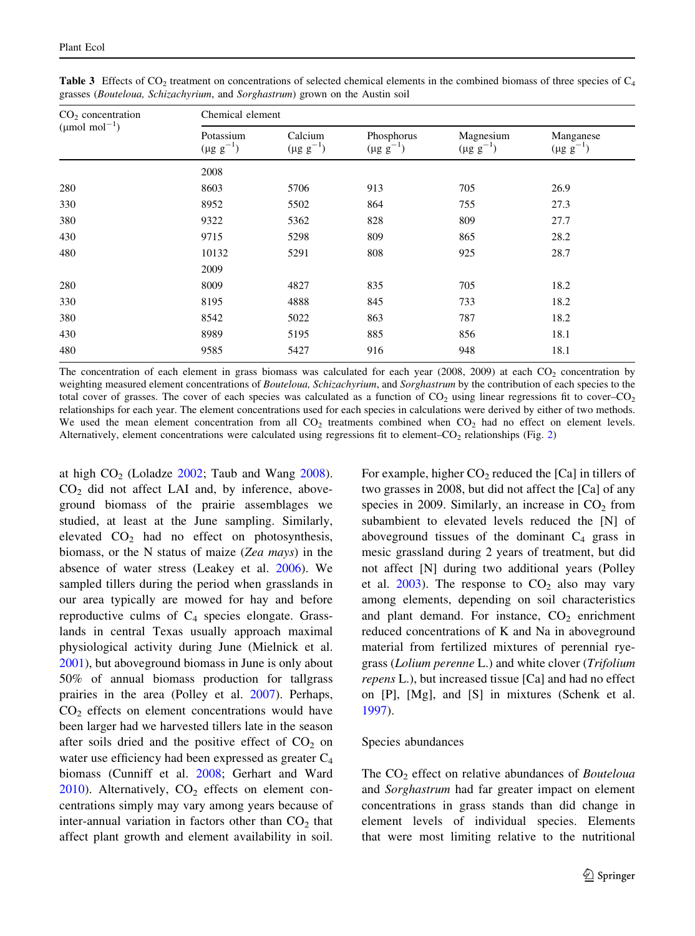| $CO2$ concentration             | Chemical element              |                             |                                |                               |                               |  |  |  |  |  |  |
|---------------------------------|-------------------------------|-----------------------------|--------------------------------|-------------------------------|-------------------------------|--|--|--|--|--|--|
| ( $\mu$ mol mol <sup>-1</sup> ) | Potassium<br>$(\mu g g^{-1})$ | Calcium<br>$(\mu g g^{-1})$ | Phosphorus<br>$(\mu g g^{-1})$ | Magnesium<br>$(\mu g g^{-1})$ | Manganese<br>$(\mu g g^{-1})$ |  |  |  |  |  |  |
|                                 | 2008                          |                             |                                |                               |                               |  |  |  |  |  |  |
| 280                             | 8603                          | 5706                        | 913                            | 705                           | 26.9                          |  |  |  |  |  |  |
| 330                             | 8952                          | 5502                        | 864                            | 755                           | 27.3                          |  |  |  |  |  |  |
| 380                             | 9322                          | 5362                        | 828                            | 809                           | 27.7                          |  |  |  |  |  |  |
| 430                             | 9715                          | 5298                        | 809                            | 865                           | 28.2                          |  |  |  |  |  |  |
| 480                             | 10132                         | 5291                        | 808                            | 925                           | 28.7                          |  |  |  |  |  |  |
|                                 | 2009                          |                             |                                |                               |                               |  |  |  |  |  |  |
| 280                             | 8009                          | 4827                        | 835                            | 705                           | 18.2                          |  |  |  |  |  |  |
| 330                             | 8195                          | 4888                        | 845                            | 733                           | 18.2                          |  |  |  |  |  |  |
| 380                             | 8542                          | 5022                        | 863                            | 787                           | 18.2                          |  |  |  |  |  |  |
| 430                             | 8989                          | 5195                        | 885                            | 856                           | 18.1                          |  |  |  |  |  |  |
| 480                             | 9585                          | 5427                        | 916                            | 948                           | 18.1                          |  |  |  |  |  |  |

<span id="page-10-0"></span>**Table 3** Effects of CO<sub>2</sub> treatment on concentrations of selected chemical elements in the combined biomass of three species of  $C_4$ grasses (Bouteloua, Schizachyrium, and Sorghastrum) grown on the Austin soil

The concentration of each element in grass biomass was calculated for each year (2008, 2009) at each  $CO<sub>2</sub>$  concentration by weighting measured element concentrations of Bouteloua, Schizachyrium, and Sorghastrum by the contribution of each species to the total cover of grasses. The cover of each species was calculated as a function of  $CO_2$  using linear regressions fit to cover– $CO_2$ relationships for each year. The element concentrations used for each species in calculations were derived by either of two methods. We used the mean element concentration from all  $CO<sub>2</sub>$  treatments combined when  $CO<sub>2</sub>$  had no effect on element levels. Alternatively, element concentrations were calculated using regressions fit to element– $CO<sub>2</sub>$  $CO<sub>2</sub>$  $CO<sub>2</sub>$  relationships (Fig. 2)

at high  $CO<sub>2</sub>$  (Loladze [2002;](#page-12-0) Taub and Wang [2008](#page-12-0)).  $CO<sub>2</sub>$  did not affect LAI and, by inference, aboveground biomass of the prairie assemblages we studied, at least at the June sampling. Similarly, elevated  $CO<sub>2</sub>$  had no effect on photosynthesis, biomass, or the N status of maize (Zea mays) in the absence of water stress (Leakey et al. [2006](#page-12-0)). We sampled tillers during the period when grasslands in our area typically are mowed for hay and before reproductive culms of  $C_4$  species elongate. Grasslands in central Texas usually approach maximal physiological activity during June (Mielnick et al. [2001\)](#page-12-0), but aboveground biomass in June is only about 50% of annual biomass production for tallgrass prairies in the area (Polley et al. [2007\)](#page-12-0). Perhaps,  $CO<sub>2</sub>$  effects on element concentrations would have been larger had we harvested tillers late in the season after soils dried and the positive effect of  $CO<sub>2</sub>$  on water use efficiency had been expressed as greater C<sub>4</sub> biomass (Cunniff et al. [2008;](#page-11-0) Gerhart and Ward  $2010$ ). Alternatively,  $CO<sub>2</sub>$  effects on element concentrations simply may vary among years because of inter-annual variation in factors other than  $CO<sub>2</sub>$  that affect plant growth and element availability in soil. For example, higher  $CO<sub>2</sub>$  reduced the [Ca] in tillers of two grasses in 2008, but did not affect the [Ca] of any species in 2009. Similarly, an increase in  $CO<sub>2</sub>$  from subambient to elevated levels reduced the [N] of aboveground tissues of the dominant  $C_4$  grass in mesic grassland during 2 years of treatment, but did not affect [N] during two additional years (Polley et al. [2003\)](#page-12-0). The response to  $CO<sub>2</sub>$  also may vary among elements, depending on soil characteristics and plant demand. For instance,  $CO<sub>2</sub>$  enrichment reduced concentrations of K and Na in aboveground material from fertilized mixtures of perennial ryegrass (Lolium perenne L.) and white clover (Trifolium repens L.), but increased tissue [Ca] and had no effect on [P], [Mg], and [S] in mixtures (Schenk et al. [1997\)](#page-12-0).

# Species abundances

The  $CO<sub>2</sub>$  effect on relative abundances of *Bouteloua* and Sorghastrum had far greater impact on element concentrations in grass stands than did change in element levels of individual species. Elements that were most limiting relative to the nutritional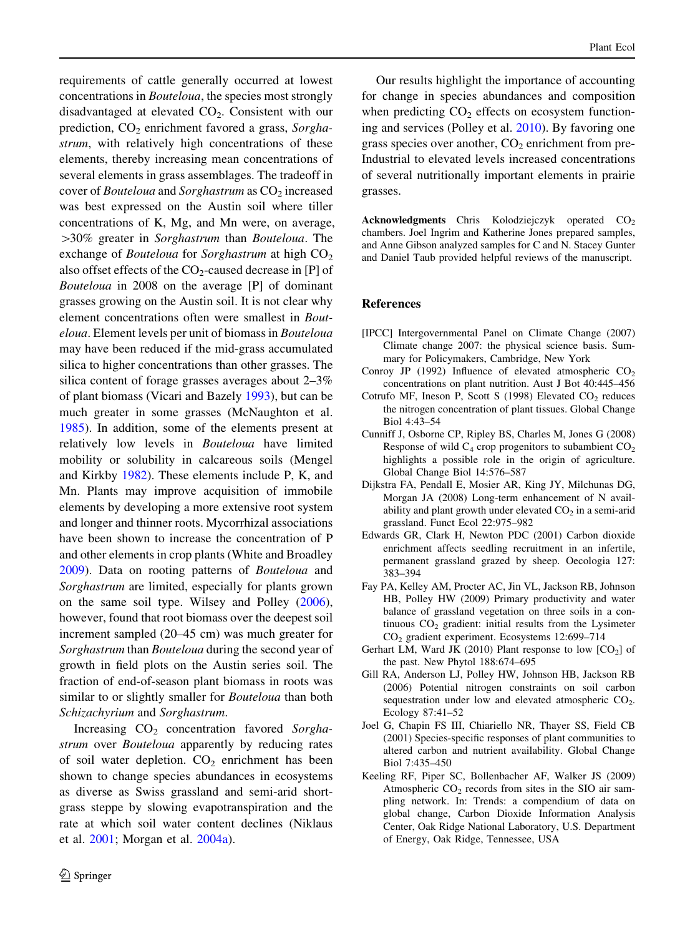<span id="page-11-0"></span>requirements of cattle generally occurred at lowest concentrations in Bouteloua, the species most strongly disadvantaged at elevated  $CO<sub>2</sub>$ . Consistent with our prediction,  $CO<sub>2</sub>$  enrichment favored a grass, Sorghastrum, with relatively high concentrations of these elements, thereby increasing mean concentrations of several elements in grass assemblages. The tradeoff in cover of *Bouteloua* and *Sorghastrum* as  $CO<sub>2</sub>$  increased was best expressed on the Austin soil where tiller concentrations of K, Mg, and Mn were, on average,  $>$ 30% greater in Sorghastrum than Bouteloua. The exchange of *Bouteloua* for *Sorghastrum* at high  $CO<sub>2</sub>$ also offset effects of the  $CO<sub>2</sub>$ -caused decrease in [P] of Bouteloua in 2008 on the average [P] of dominant grasses growing on the Austin soil. It is not clear why element concentrations often were smallest in Bouteloua. Element levels per unit of biomass in Bouteloua may have been reduced if the mid-grass accumulated silica to higher concentrations than other grasses. The silica content of forage grasses averages about 2–3% of plant biomass (Vicari and Bazely [1993\)](#page-12-0), but can be much greater in some grasses (McNaughton et al. [1985\)](#page-12-0). In addition, some of the elements present at relatively low levels in Bouteloua have limited mobility or solubility in calcareous soils (Mengel and Kirkby [1982\)](#page-12-0). These elements include P, K, and Mn. Plants may improve acquisition of immobile elements by developing a more extensive root system and longer and thinner roots. Mycorrhizal associations have been shown to increase the concentration of P and other elements in crop plants (White and Broadley [2009\)](#page-12-0). Data on rooting patterns of Bouteloua and Sorghastrum are limited, especially for plants grown on the same soil type. Wilsey and Polley [\(2006](#page-12-0)), however, found that root biomass over the deepest soil increment sampled (20–45 cm) was much greater for Sorghastrum than Bouteloua during the second year of growth in field plots on the Austin series soil. The fraction of end-of-season plant biomass in roots was similar to or slightly smaller for *Bouteloua* than both Schizachyrium and Sorghastrum.

Increasing  $CO<sub>2</sub>$  concentration favored Sorghastrum over *Bouteloua* apparently by reducing rates of soil water depletion.  $CO<sub>2</sub>$  enrichment has been shown to change species abundances in ecosystems as diverse as Swiss grassland and semi-arid shortgrass steppe by slowing evapotranspiration and the rate at which soil water content declines (Niklaus et al. [2001](#page-12-0); Morgan et al. [2004a\)](#page-12-0).

Our results highlight the importance of accounting for change in species abundances and composition when predicting  $CO<sub>2</sub>$  effects on ecosystem functioning and services (Polley et al. [2010](#page-12-0)). By favoring one grass species over another,  $CO<sub>2</sub>$  enrichment from pre-Industrial to elevated levels increased concentrations of several nutritionally important elements in prairie grasses.

Acknowledgments Chris Kolodziejczyk operated CO<sub>2</sub> chambers. Joel Ingrim and Katherine Jones prepared samples, and Anne Gibson analyzed samples for C and N. Stacey Gunter and Daniel Taub provided helpful reviews of the manuscript.

#### References

- [IPCC] Intergovernmental Panel on Climate Change (2007) Climate change 2007: the physical science basis. Summary for Policymakers, Cambridge, New York
- Conroy JP (1992) Influence of elevated atmospheric  $CO<sub>2</sub>$ concentrations on plant nutrition. Aust J Bot 40:445–456
- Cotrufo MF, Ineson P, Scott S  $(1998)$  Elevated CO<sub>2</sub> reduces the nitrogen concentration of plant tissues. Global Change Biol 4:43–54
- Cunniff J, Osborne CP, Ripley BS, Charles M, Jones G (2008) Response of wild  $C_4$  crop progenitors to subambient  $CO_2$ highlights a possible role in the origin of agriculture. Global Change Biol 14:576–587
- Dijkstra FA, Pendall E, Mosier AR, King JY, Milchunas DG, Morgan JA (2008) Long-term enhancement of N availability and plant growth under elevated  $CO<sub>2</sub>$  in a semi-arid grassland. Funct Ecol 22:975–982
- Edwards GR, Clark H, Newton PDC (2001) Carbon dioxide enrichment affects seedling recruitment in an infertile, permanent grassland grazed by sheep. Oecologia 127: 383–394
- Fay PA, Kelley AM, Procter AC, Jin VL, Jackson RB, Johnson HB, Polley HW (2009) Primary productivity and water balance of grassland vegetation on three soils in a continuous  $CO<sub>2</sub>$  gradient: initial results from the Lysimeter CO2 gradient experiment. Ecosystems 12:699–714
- Gerhart LM, Ward JK (2010) Plant response to low  $[CO<sub>2</sub>]$  of the past. New Phytol 188:674–695
- Gill RA, Anderson LJ, Polley HW, Johnson HB, Jackson RB (2006) Potential nitrogen constraints on soil carbon sequestration under low and elevated atmospheric CO<sub>2</sub>. Ecology 87:41–52
- Joel G, Chapin FS III, Chiariello NR, Thayer SS, Field CB (2001) Species-specific responses of plant communities to altered carbon and nutrient availability. Global Change Biol 7:435–450
- Keeling RF, Piper SC, Bollenbacher AF, Walker JS (2009) Atmospheric  $CO<sub>2</sub>$  records from sites in the SIO air sampling network. In: Trends: a compendium of data on global change, Carbon Dioxide Information Analysis Center, Oak Ridge National Laboratory, U.S. Department of Energy, Oak Ridge, Tennessee, USA